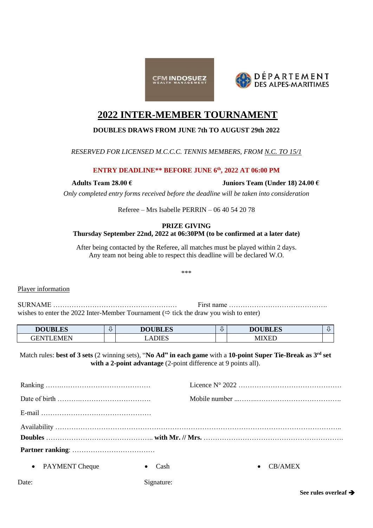



# **2022 INTER-MEMBER TOURNAMENT**

# **DOUBLES DRAWS FROM JUNE 7th TO AUGUST 29th 2022**

# *RESERVED FOR LICENSED M.C.C.C. TENNIS MEMBERS, FROM N.C. TO 15/1*

# **ENTRY DEADLINE\*\* BEFORE JUNE 6th, 2022 AT 06:00 PM**

**Adults Team 28.00 € Juniors Team (Under 18) 24.00 €**

*Only completed entry forms received before the deadline will be taken into consideration*

Referee – Mrs Isabelle PERRIN – 06 40 54 20 78

#### **PRIZE GIVING Thursday September 22nd, 2022 at 06:30PM (to be confirmed at a later date)**

After being contacted by the Referee, all matches must be played within 2 days. Any team not being able to respect this deadline will be declared W.O.

\*\*\*

## Player information

SURNAME ……………………………………………… First name ……………………………………. wishes to enter the 2022 Inter-Member Tournament  $(\Rightarrow$  tick the draw you wish to enter)

| <b>DOUBLES</b> | <b>DOUBL</b><br><b>ALES</b> | <b>DOUBLES</b>                               |  |
|----------------|-----------------------------|----------------------------------------------|--|
| HN"<br>N/I     | DIES                        | $\sim$ $\sim$ $\sim$ $\sim$ $\sim$<br>M<br>. |  |

Match rules: **best of 3 sets** (2 winning sets), "**No Ad" in each game** with a **10-point Super Tie-Break as 3 rd set with a 2-point advantage** (2-point difference at 9 points all).

| • PAYMENT Cheque | Cash<br>$\bullet$ | $\bullet$ | CB/AMEX |  |
|------------------|-------------------|-----------|---------|--|
| Date:            | Signature:        |           |         |  |